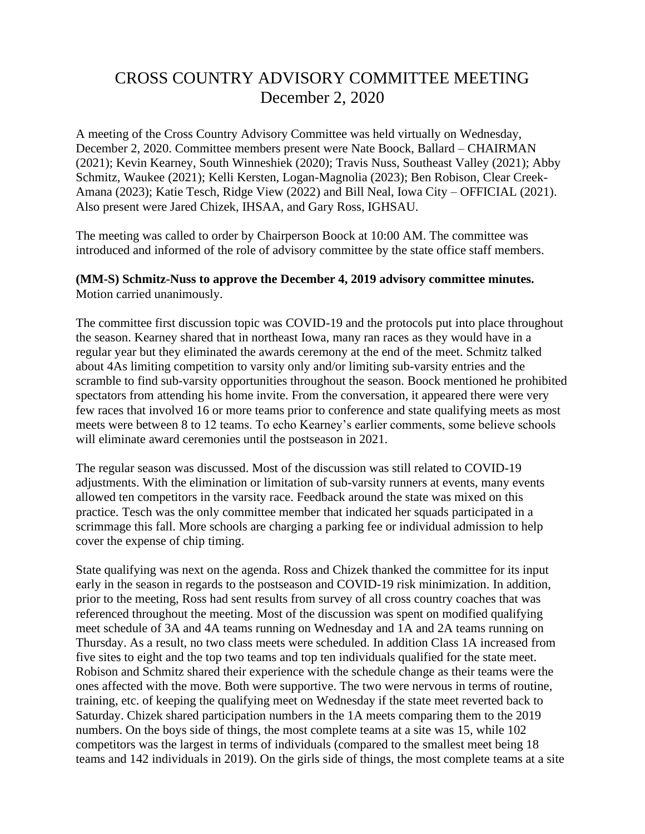## CROSS COUNTRY ADVISORY COMMITTEE MEETING December 2, 2020

A meeting of the Cross Country Advisory Committee was held virtually on Wednesday, December 2, 2020. Committee members present were Nate Boock, Ballard – CHAIRMAN (2021); Kevin Kearney, South Winneshiek (2020); Travis Nuss, Southeast Valley (2021); Abby Schmitz, Waukee (2021); Kelli Kersten, Logan-Magnolia (2023); Ben Robison, Clear Creek-Amana (2023); Katie Tesch, Ridge View (2022) and Bill Neal, Iowa City – OFFICIAL (2021). Also present were Jared Chizek, IHSAA, and Gary Ross, IGHSAU.

The meeting was called to order by Chairperson Boock at 10:00 AM. The committee was introduced and informed of the role of advisory committee by the state office staff members.

## **(MM-S) Schmitz-Nuss to approve the December 4, 2019 advisory committee minutes.**  Motion carried unanimously.

The committee first discussion topic was COVID-19 and the protocols put into place throughout the season. Kearney shared that in northeast Iowa, many ran races as they would have in a regular year but they eliminated the awards ceremony at the end of the meet. Schmitz talked about 4As limiting competition to varsity only and/or limiting sub-varsity entries and the scramble to find sub-varsity opportunities throughout the season. Boock mentioned he prohibited spectators from attending his home invite. From the conversation, it appeared there were very few races that involved 16 or more teams prior to conference and state qualifying meets as most meets were between 8 to 12 teams. To echo Kearney's earlier comments, some believe schools will eliminate award ceremonies until the postseason in 2021.

The regular season was discussed. Most of the discussion was still related to COVID-19 adjustments. With the elimination or limitation of sub-varsity runners at events, many events allowed ten competitors in the varsity race. Feedback around the state was mixed on this practice. Tesch was the only committee member that indicated her squads participated in a scrimmage this fall. More schools are charging a parking fee or individual admission to help cover the expense of chip timing.

State qualifying was next on the agenda. Ross and Chizek thanked the committee for its input early in the season in regards to the postseason and COVID-19 risk minimization. In addition, prior to the meeting, Ross had sent results from survey of all cross country coaches that was referenced throughout the meeting. Most of the discussion was spent on modified qualifying meet schedule of 3A and 4A teams running on Wednesday and 1A and 2A teams running on Thursday. As a result, no two class meets were scheduled. In addition Class 1A increased from five sites to eight and the top two teams and top ten individuals qualified for the state meet. Robison and Schmitz shared their experience with the schedule change as their teams were the ones affected with the move. Both were supportive. The two were nervous in terms of routine, training, etc. of keeping the qualifying meet on Wednesday if the state meet reverted back to Saturday. Chizek shared participation numbers in the 1A meets comparing them to the 2019 numbers. On the boys side of things, the most complete teams at a site was 15, while 102 competitors was the largest in terms of individuals (compared to the smallest meet being 18 teams and 142 individuals in 2019). On the girls side of things, the most complete teams at a site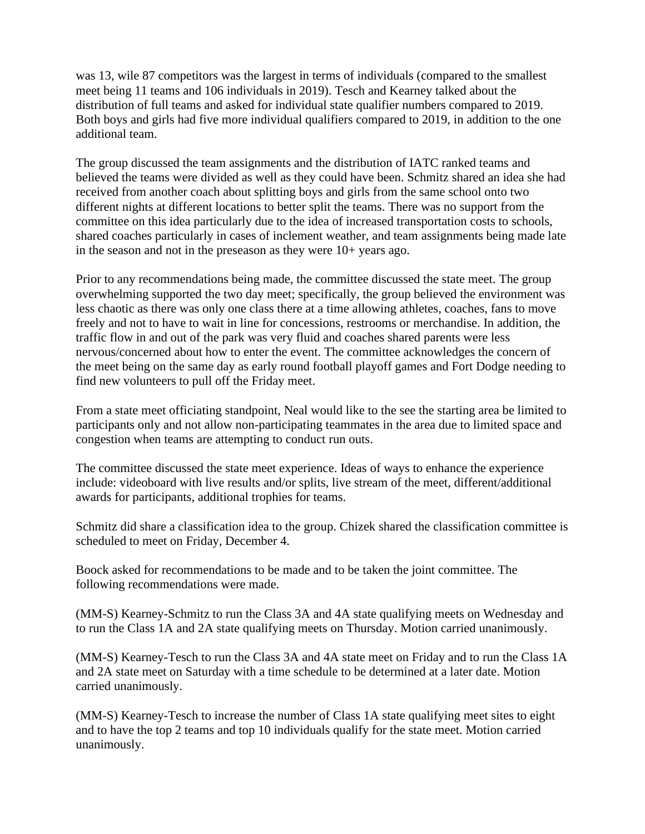was 13, wile 87 competitors was the largest in terms of individuals (compared to the smallest meet being 11 teams and 106 individuals in 2019). Tesch and Kearney talked about the distribution of full teams and asked for individual state qualifier numbers compared to 2019. Both boys and girls had five more individual qualifiers compared to 2019, in addition to the one additional team.

The group discussed the team assignments and the distribution of IATC ranked teams and believed the teams were divided as well as they could have been. Schmitz shared an idea she had received from another coach about splitting boys and girls from the same school onto two different nights at different locations to better split the teams. There was no support from the committee on this idea particularly due to the idea of increased transportation costs to schools, shared coaches particularly in cases of inclement weather, and team assignments being made late in the season and not in the preseason as they were 10+ years ago.

Prior to any recommendations being made, the committee discussed the state meet. The group overwhelming supported the two day meet; specifically, the group believed the environment was less chaotic as there was only one class there at a time allowing athletes, coaches, fans to move freely and not to have to wait in line for concessions, restrooms or merchandise. In addition, the traffic flow in and out of the park was very fluid and coaches shared parents were less nervous/concerned about how to enter the event. The committee acknowledges the concern of the meet being on the same day as early round football playoff games and Fort Dodge needing to find new volunteers to pull off the Friday meet.

From a state meet officiating standpoint, Neal would like to the see the starting area be limited to participants only and not allow non-participating teammates in the area due to limited space and congestion when teams are attempting to conduct run outs.

The committee discussed the state meet experience. Ideas of ways to enhance the experience include: videoboard with live results and/or splits, live stream of the meet, different/additional awards for participants, additional trophies for teams.

Schmitz did share a classification idea to the group. Chizek shared the classification committee is scheduled to meet on Friday, December 4.

Boock asked for recommendations to be made and to be taken the joint committee. The following recommendations were made.

(MM-S) Kearney-Schmitz to run the Class 3A and 4A state qualifying meets on Wednesday and to run the Class 1A and 2A state qualifying meets on Thursday. Motion carried unanimously.

(MM-S) Kearney-Tesch to run the Class 3A and 4A state meet on Friday and to run the Class 1A and 2A state meet on Saturday with a time schedule to be determined at a later date. Motion carried unanimously.

(MM-S) Kearney-Tesch to increase the number of Class 1A state qualifying meet sites to eight and to have the top 2 teams and top 10 individuals qualify for the state meet. Motion carried unanimously.